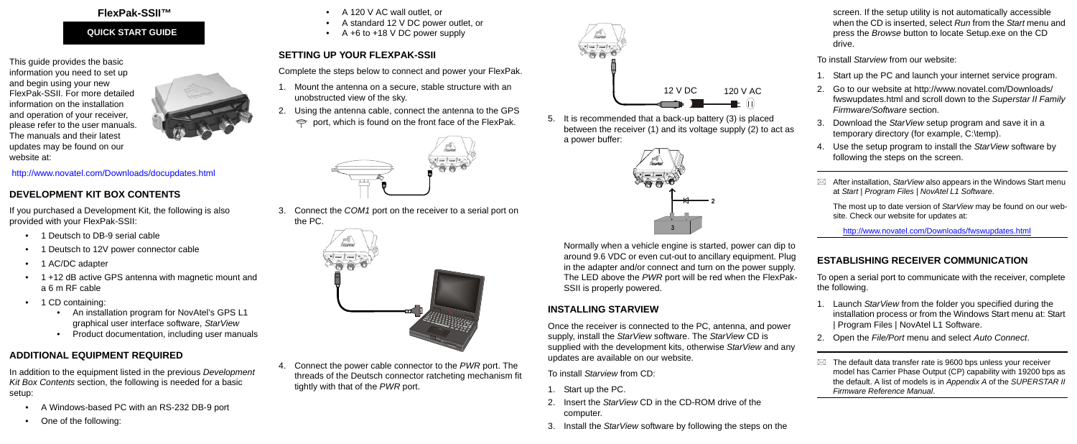## **FlexPak-SSII™**

This guide provides the basic information you need to set up and begin using your new FlexPak-SSII. For more detailed information on the installation and operation of your receiver, please refer to the user manuals. The manuals and their latest updates may be found on our website at:



#### <http://www.novatel.com/Downloads/docupdates.html>

## **DEVELOPMENT KIT BOX CONTENTS**

- 1 Deutsch to DB-9 serial cable
- 1 Deutsch to 12V power connector cable
- 1 AC/DC adapter
- 1 +12 dB active GPS antenna with magnetic mount and a 6 m RF cable
- 1 CD containing:
	- An installation program for NovAtel's GPS L1 graphical user interface software, *StarView*
	- Product documentation, including user manuals

If you purchased a Development Kit, the following is also provided with your FlexPak-SSII:

- A 120 V AC wall outlet, or
- A standard 12 V DC power outlet, or
- A +6 to +18 V DC power supply

- 1. Mount the antenna on a secure, stable structure with an unobstructed view of the sky.
- 2. Using the antenna cable, connect the antenna to the GPS  $\Rightarrow$  port, which is found on the front face of the FlexPak.



# **ADDITIONAL EQUIPMENT REQUIRED**

In addition to the equipment listed in the previous *Development Kit Box Contents* section, the following is needed for a basic setup:

- A Windows-based PC with an RS-232 DB-9 port
- One of the following:

# **SETTING UP YOUR FLEXPAK-SSII**

Complete the steps below to connect and power your FlexPak.

3. Connect the *COM1* port on the receiver to a serial port on the PC.



4. Connect the power cable connector to the *PWR* port. The threads of the Deutsch connector ratcheting mechanism fit tightly with that of the *PWR* port.

5. It is recommended that a back-up battery (3) is placed between the receiver (1) and its voltage supply (2) to act as a power buffer:

Normally when a vehicle engine is started, power can dip to around 9.6 VDC or even cut-out to ancillary equipment. Plug in the adapter and/or connect and turn on the power supply. The LED above the *PWR* port will be red when the FlexPak-SSII is properly powered.

## **INSTALLING STARVIEW**

Once the receiver is connected to the PC, antenna, and power supply, install the *StarView* software. The *StarView* CD is supplied with the development kits, otherwise *StarView* and any updates are available on our website.

To install *Starview* from CD:

- 1. Start up the PC.
- 2. Insert the *StarView* CD in the CD-ROM drive of the computer.
- 3. Install the *StarView* software by following the steps on the

screen. If the setup utility is not automatically accessible when the CD is inserted, select *Run* from the *Start* menu and press the *Browse* button to locate Setup.exe on the CD drive.

To install *Starview* from our website:

- 1. Start up the PC and launch your internet service program.
- 2. Go to our website at http://www.novatel.com/Downloads/ fwswupdates.html and scroll down to the *Superstar II Family Firmware/Software* section.
- 3. Download the *StarView* setup program and save it in a temporary directory (for example, C:\temp).
- 4. Use the setup program to install the *StarView* software by following the steps on the screen.
- $\boxtimes$  After installation, *StarView* also appears in the Windows Start menu at *Start | Program Files | NovAtel L1 Software*.

The most up to date version of *StarView* may be found on our website. Check our website for updates at:

<http://www.novatel.com/Downloads/fwswupdates.html>

# **ESTABLISHING RECEIVER COMMUNICATION**

- To open a serial port to communicate with the receiver, complete the following.
	- 1. Launch *StarView* from the folder you specified during the installation process or from the Windows Start menu at: Start | Program Files | NovAtel L1 Software.
	- 2. Open the *File/Port* menu and select *Auto Connect*.
- 
- $\boxtimes$  The default data transfer rate is 9600 bps unless your receiver model has Carrier Phase Output (CP) capability with 19200 bps as the default. A list of models is in *Appendix A* of the *SUPERSTAR II Firmware Reference Manual*.

## **QUICK START GUIDE**





2